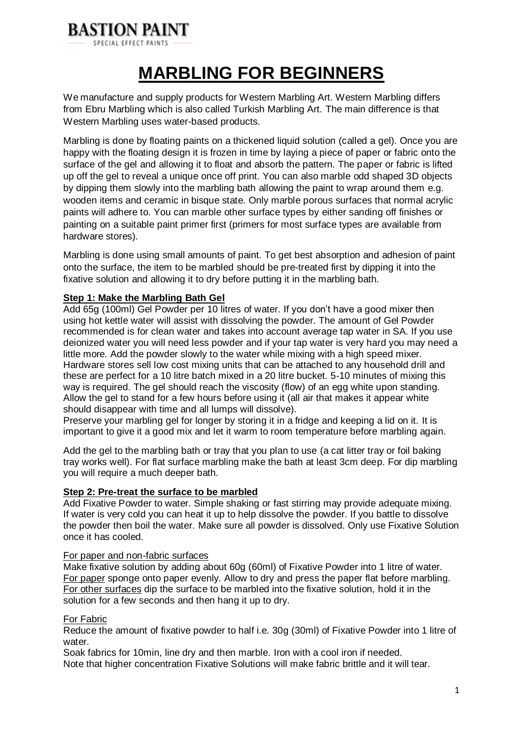

**MARBLING FOR BEGINNERS**

We manufacture and supply products for Western Marbling Art. Western Marbling differs from Ebru Marbling which is also called Turkish Marbling Art. The main difference is that Western Marbling uses water-based products.

Marbling is done by floating paints on a thickened liquid solution (called a gel). Once you are happy with the floating design it is frozen in time by laying a piece of paper or fabric onto the surface of the gel and allowing it to float and absorb the pattern. The paper or fabric is lifted up off the gel to reveal a unique once off print. You can also marble odd shaped 3D objects by dipping them slowly into the marbling bath allowing the paint to wrap around them e.g. wooden items and ceramic in bisque state. Only marble porous surfaces that normal acrylic paints will adhere to. You can marble other surface types by either sanding off finishes or painting on a suitable paint primer first (primers for most surface types are available from hardware stores).

Marbling is done using small amounts of paint. To get best absorption and adhesion of paint onto the surface, the item to be marbled should be pre-treated first by dipping it into the fixative solution and allowing it to dry before putting it in the marbling bath.

#### **Step 1: Make the Marbling Bath Gel**

Add 65g (100ml) Gel Powder per 10 litres of water. If you don't have a good mixer then using hot kettle water will assist with dissolving the powder. The amount of Gel Powder recommended is for clean water and takes into account average tap water in SA. If you use deionized water you will need less powder and if your tap water is very hard you may need a little more. Add the powder slowly to the water while mixing with a high speed mixer. Hardware stores sell low cost mixing units that can be attached to any household drill and these are perfect for a 10 litre batch mixed in a 20 litre bucket. 5-10 minutes of mixing this way is required. The gel should reach the viscosity (flow) of an egg white upon standing. Allow the gel to stand for a few hours before using it (all air that makes it appear white should disappear with time and all lumps will dissolve).

Preserve your marbling gel for longer by storing it in a fridge and keeping a lid on it. It is important to give it a good mix and let it warm to room temperature before marbling again.

Add the gel to the marbling bath or tray that you plan to use (a cat litter tray or foil baking tray works well). For flat surface marbling make the bath at least 3cm deep. For dip marbling you will require a much deeper bath.

#### **Step 2: Pre-treat the surface to be marbled**

Add Fixative Powder to water. Simple shaking or fast stirring may provide adequate mixing. If water is very cold you can heat it up to help dissolve the powder. If you battle to dissolve the powder then boil the water. Make sure all powder is dissolved. Only use Fixative Solution once it has cooled.

#### For paper and non-fabric surfaces

Make fixative solution by adding about 60g (60ml) of Fixative Powder into 1 litre of water. For paper sponge onto paper evenly. Allow to dry and press the paper flat before marbling. For other surfaces dip the surface to be marbled into the fixative solution, hold it in the solution for a few seconds and then hang it up to dry.

#### For Fabric

Reduce the amount of fixative powder to half i.e. 30g (30ml) of Fixative Powder into 1 litre of water.

Soak fabrics for 10min, line dry and then marble. Iron with a cool iron if needed. Note that higher concentration Fixative Solutions will make fabric brittle and it will tear.